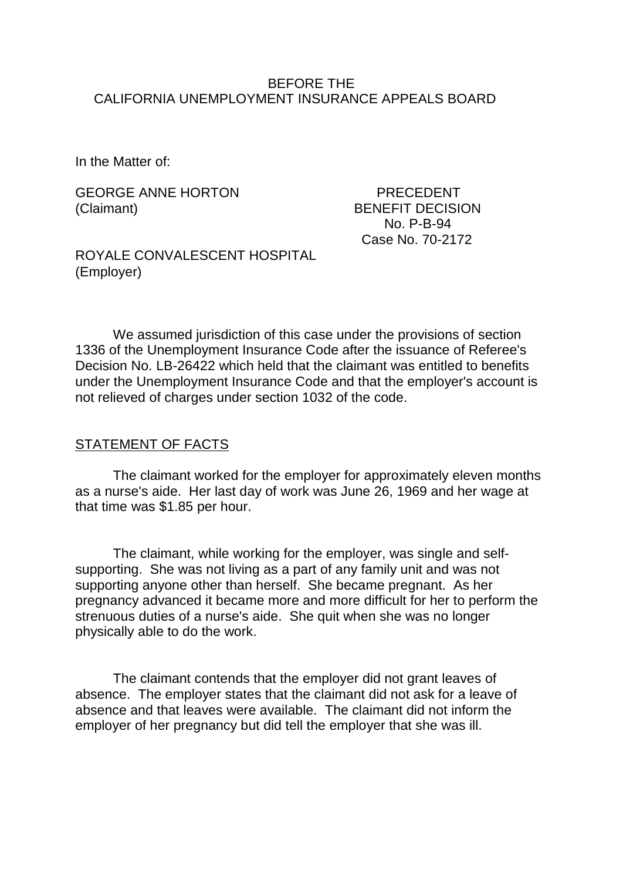## BEFORE THE CALIFORNIA UNEMPLOYMENT INSURANCE APPEALS BOARD

In the Matter of:

GEORGE ANNE HORTON PRECEDENT (Claimant) BENEFIT DECISION

 No. P-B-94 Case No. 70-2172

ROYALE CONVALESCENT HOSPITAL (Employer)

We assumed jurisdiction of this case under the provisions of section 1336 of the Unemployment Insurance Code after the issuance of Referee's Decision No. LB-26422 which held that the claimant was entitled to benefits under the Unemployment Insurance Code and that the employer's account is not relieved of charges under section 1032 of the code.

## STATEMENT OF FACTS

The claimant worked for the employer for approximately eleven months as a nurse's aide. Her last day of work was June 26, 1969 and her wage at that time was \$1.85 per hour.

The claimant, while working for the employer, was single and selfsupporting. She was not living as a part of any family unit and was not supporting anyone other than herself. She became pregnant. As her pregnancy advanced it became more and more difficult for her to perform the strenuous duties of a nurse's aide. She quit when she was no longer physically able to do the work.

The claimant contends that the employer did not grant leaves of absence. The employer states that the claimant did not ask for a leave of absence and that leaves were available. The claimant did not inform the employer of her pregnancy but did tell the employer that she was ill.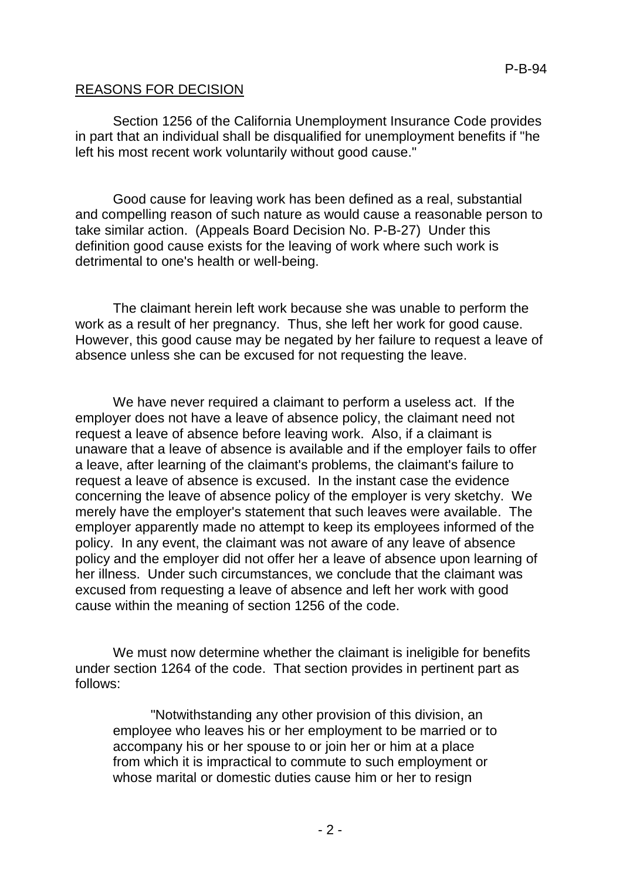## REASONS FOR DECISION

Section 1256 of the California Unemployment Insurance Code provides in part that an individual shall be disqualified for unemployment benefits if "he left his most recent work voluntarily without good cause."

Good cause for leaving work has been defined as a real, substantial and compelling reason of such nature as would cause a reasonable person to take similar action. (Appeals Board Decision No. P-B-27) Under this definition good cause exists for the leaving of work where such work is detrimental to one's health or well-being.

The claimant herein left work because she was unable to perform the work as a result of her pregnancy. Thus, she left her work for good cause. However, this good cause may be negated by her failure to request a leave of absence unless she can be excused for not requesting the leave.

We have never required a claimant to perform a useless act. If the employer does not have a leave of absence policy, the claimant need not request a leave of absence before leaving work. Also, if a claimant is unaware that a leave of absence is available and if the employer fails to offer a leave, after learning of the claimant's problems, the claimant's failure to request a leave of absence is excused. In the instant case the evidence concerning the leave of absence policy of the employer is very sketchy. We merely have the employer's statement that such leaves were available. The employer apparently made no attempt to keep its employees informed of the policy. In any event, the claimant was not aware of any leave of absence policy and the employer did not offer her a leave of absence upon learning of her illness. Under such circumstances, we conclude that the claimant was excused from requesting a leave of absence and left her work with good cause within the meaning of section 1256 of the code.

We must now determine whether the claimant is ineligible for benefits under section 1264 of the code. That section provides in pertinent part as follows:

"Notwithstanding any other provision of this division, an employee who leaves his or her employment to be married or to accompany his or her spouse to or join her or him at a place from which it is impractical to commute to such employment or whose marital or domestic duties cause him or her to resign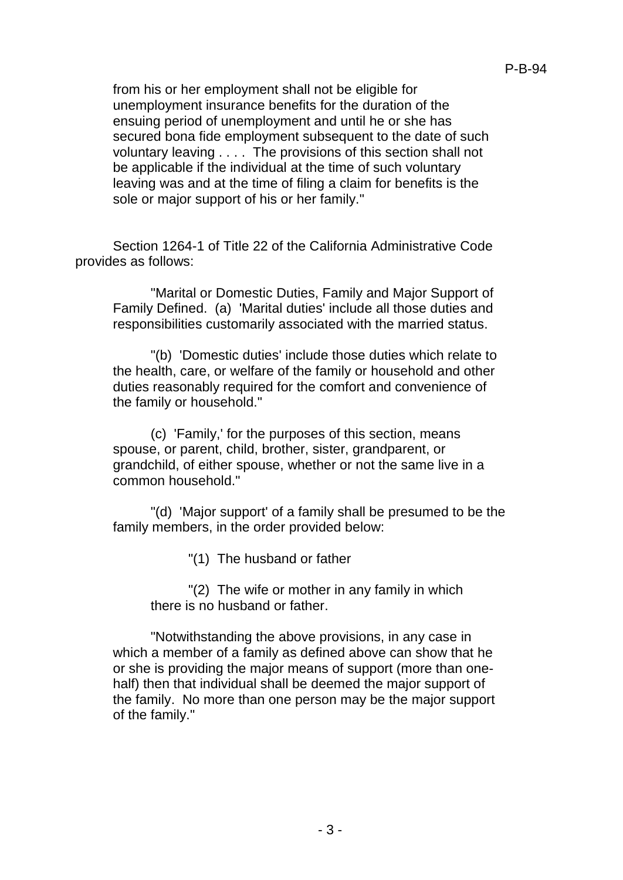from his or her employment shall not be eligible for unemployment insurance benefits for the duration of the ensuing period of unemployment and until he or she has secured bona fide employment subsequent to the date of such voluntary leaving . . . . The provisions of this section shall not be applicable if the individual at the time of such voluntary leaving was and at the time of filing a claim for benefits is the sole or major support of his or her family."

Section 1264-1 of Title 22 of the California Administrative Code provides as follows:

"Marital or Domestic Duties, Family and Major Support of Family Defined. (a) 'Marital duties' include all those duties and responsibilities customarily associated with the married status.

"(b) 'Domestic duties' include those duties which relate to the health, care, or welfare of the family or household and other duties reasonably required for the comfort and convenience of the family or household."

(c) 'Family,' for the purposes of this section, means spouse, or parent, child, brother, sister, grandparent, or grandchild, of either spouse, whether or not the same live in a common household."

"(d) 'Major support' of a family shall be presumed to be the family members, in the order provided below:

"(1) The husband or father

"(2) The wife or mother in any family in which there is no husband or father.

"Notwithstanding the above provisions, in any case in which a member of a family as defined above can show that he or she is providing the major means of support (more than onehalf) then that individual shall be deemed the major support of the family. No more than one person may be the major support of the family."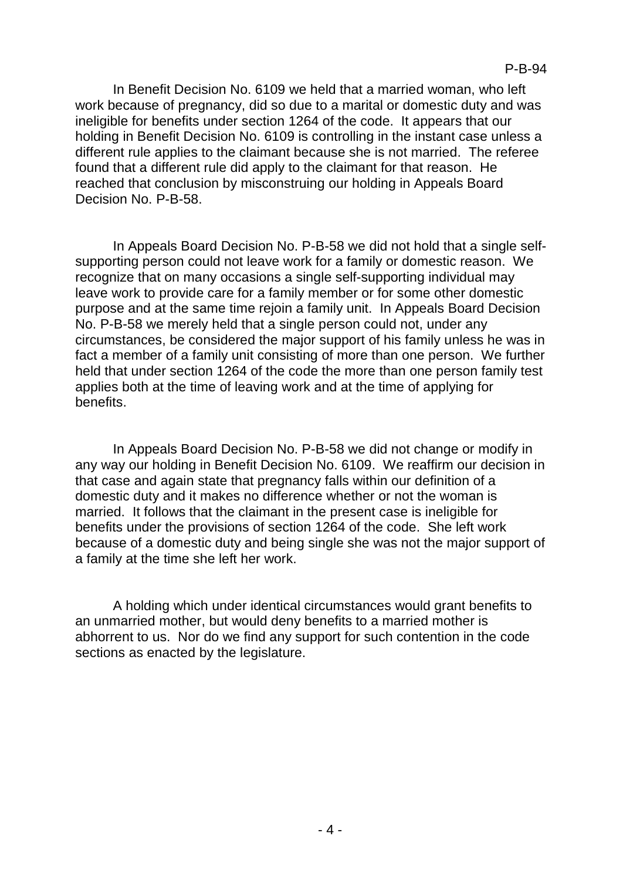In Benefit Decision No. 6109 we held that a married woman, who left work because of pregnancy, did so due to a marital or domestic duty and was ineligible for benefits under section 1264 of the code. It appears that our holding in Benefit Decision No. 6109 is controlling in the instant case unless a different rule applies to the claimant because she is not married. The referee found that a different rule did apply to the claimant for that reason. He reached that conclusion by misconstruing our holding in Appeals Board Decision No. P-B-58.

In Appeals Board Decision No. P-B-58 we did not hold that a single selfsupporting person could not leave work for a family or domestic reason. We recognize that on many occasions a single self-supporting individual may leave work to provide care for a family member or for some other domestic purpose and at the same time rejoin a family unit. In Appeals Board Decision No. P-B-58 we merely held that a single person could not, under any circumstances, be considered the major support of his family unless he was in fact a member of a family unit consisting of more than one person. We further held that under section 1264 of the code the more than one person family test applies both at the time of leaving work and at the time of applying for benefits.

In Appeals Board Decision No. P-B-58 we did not change or modify in any way our holding in Benefit Decision No. 6109. We reaffirm our decision in that case and again state that pregnancy falls within our definition of a domestic duty and it makes no difference whether or not the woman is married. It follows that the claimant in the present case is ineligible for benefits under the provisions of section 1264 of the code. She left work because of a domestic duty and being single she was not the major support of a family at the time she left her work.

A holding which under identical circumstances would grant benefits to an unmarried mother, but would deny benefits to a married mother is abhorrent to us. Nor do we find any support for such contention in the code sections as enacted by the legislature.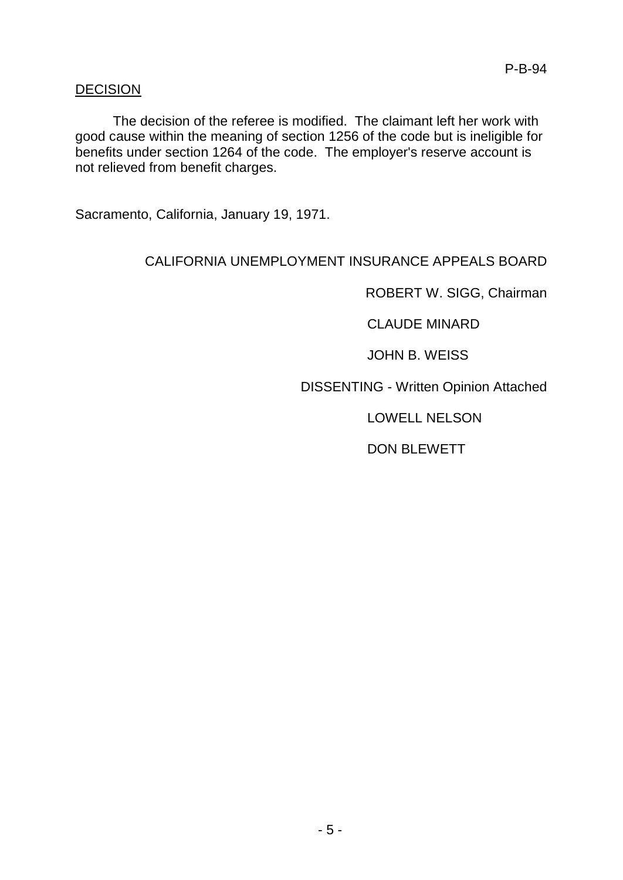## DECISION

The decision of the referee is modified. The claimant left her work with good cause within the meaning of section 1256 of the code but is ineligible for benefits under section 1264 of the code. The employer's reserve account is not relieved from benefit charges.

Sacramento, California, January 19, 1971.

# CALIFORNIA UNEMPLOYMENT INSURANCE APPEALS BOARD

ROBERT W. SIGG, Chairman

CLAUDE MINARD

JOHN B. WEISS

DISSENTING - Written Opinion Attached

LOWELL NELSON

DON BLEWETT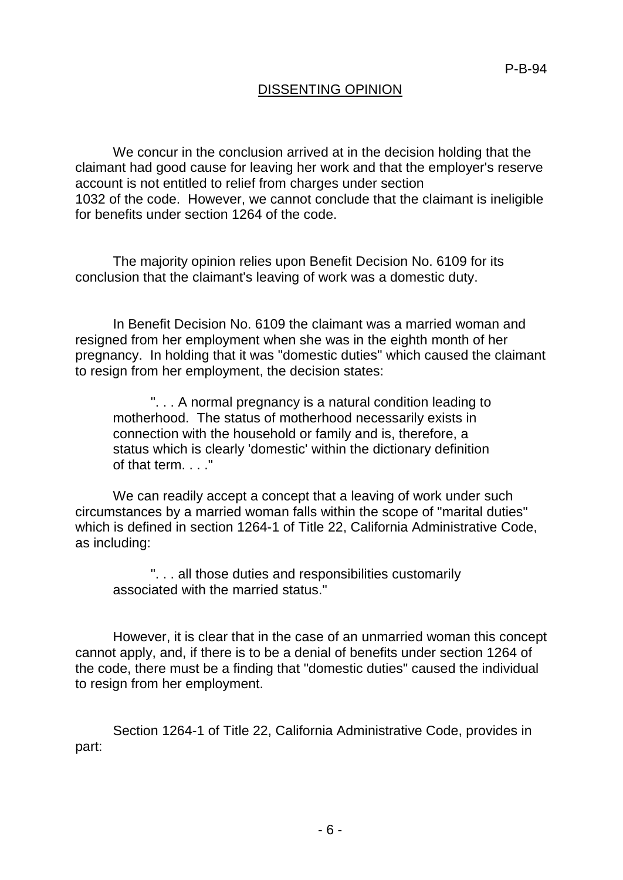## DISSENTING OPINION

We concur in the conclusion arrived at in the decision holding that the claimant had good cause for leaving her work and that the employer's reserve account is not entitled to relief from charges under section 1032 of the code. However, we cannot conclude that the claimant is ineligible for benefits under section 1264 of the code.

The majority opinion relies upon Benefit Decision No. 6109 for its conclusion that the claimant's leaving of work was a domestic duty.

In Benefit Decision No. 6109 the claimant was a married woman and resigned from her employment when she was in the eighth month of her pregnancy. In holding that it was "domestic duties" which caused the claimant to resign from her employment, the decision states:

". . . A normal pregnancy is a natural condition leading to motherhood. The status of motherhood necessarily exists in connection with the household or family and is, therefore, a status which is clearly 'domestic' within the dictionary definition of that term. . . ."

We can readily accept a concept that a leaving of work under such circumstances by a married woman falls within the scope of "marital duties" which is defined in section 1264-1 of Title 22, California Administrative Code, as including:

". . . all those duties and responsibilities customarily associated with the married status."

However, it is clear that in the case of an unmarried woman this concept cannot apply, and, if there is to be a denial of benefits under section 1264 of the code, there must be a finding that "domestic duties" caused the individual to resign from her employment.

Section 1264-1 of Title 22, California Administrative Code, provides in part: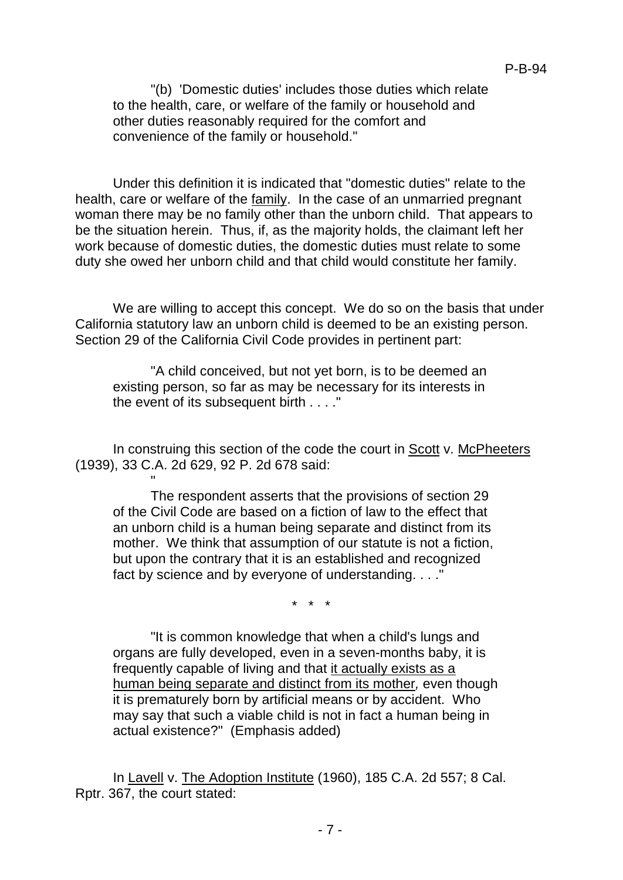"(b) 'Domestic duties' includes those duties which relate to the health, care, or welfare of the family or household and other duties reasonably required for the comfort and convenience of the family or household."

Under this definition it is indicated that "domestic duties" relate to the health, care or welfare of the family. In the case of an unmarried pregnant woman there may be no family other than the unborn child. That appears to be the situation herein. Thus, if, as the majority holds, the claimant left her work because of domestic duties, the domestic duties must relate to some duty she owed her unborn child and that child would constitute her family.

We are willing to accept this concept. We do so on the basis that under California statutory law an unborn child is deemed to be an existing person. Section 29 of the California Civil Code provides in pertinent part:

"A child conceived, but not yet born, is to be deemed an existing person, so far as may be necessary for its interests in the event of its subsequent birth . . . ."

In construing this section of the code the court in Scott v. McPheeters (1939), 33 C.A. 2d 629, 92 P. 2d 678 said:

"

The respondent asserts that the provisions of section 29 of the Civil Code are based on a fiction of law to the effect that an unborn child is a human being separate and distinct from its mother. We think that assumption of our statute is not a fiction, but upon the contrary that it is an established and recognized fact by science and by everyone of understanding. . . ."

\* \* \*

"It is common knowledge that when a child's lungs and organs are fully developed, even in a seven-months baby, it is frequently capable of living and that it actually exists as a human being separate and distinct from its mother*,* even though it is prematurely born by artificial means or by accident. Who may say that such a viable child is not in fact a human being in actual existence?" (Emphasis added)

In Lavell v. The Adoption Institute (1960), 185 C.A. 2d 557; 8 Cal. Rptr. 367, the court stated: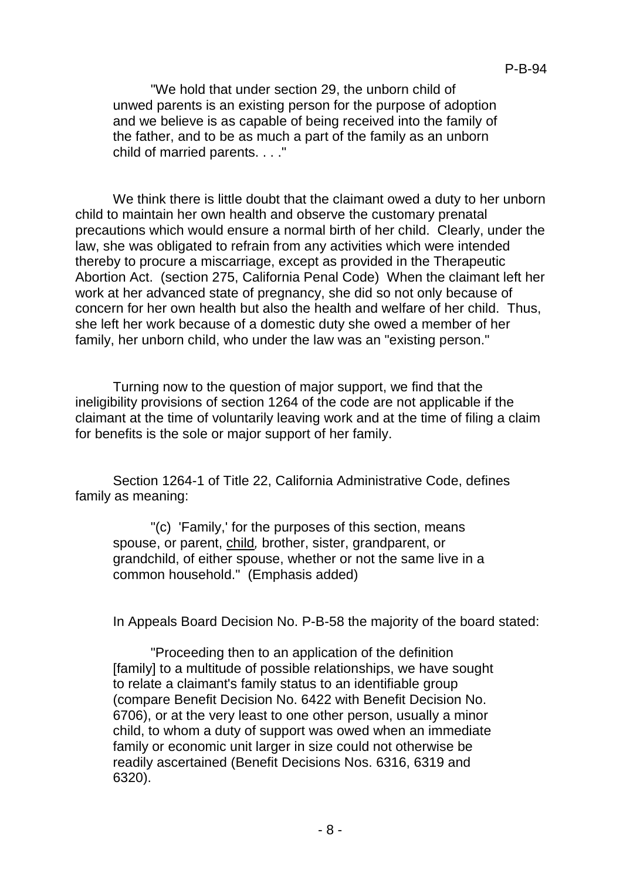"We hold that under section 29, the unborn child of unwed parents is an existing person for the purpose of adoption and we believe is as capable of being received into the family of the father, and to be as much a part of the family as an unborn child of married parents. . . ."

We think there is little doubt that the claimant owed a duty to her unborn child to maintain her own health and observe the customary prenatal precautions which would ensure a normal birth of her child. Clearly, under the law, she was obligated to refrain from any activities which were intended thereby to procure a miscarriage, except as provided in the Therapeutic Abortion Act. (section 275, California Penal Code) When the claimant left her work at her advanced state of pregnancy, she did so not only because of concern for her own health but also the health and welfare of her child. Thus, she left her work because of a domestic duty she owed a member of her family, her unborn child, who under the law was an "existing person."

Turning now to the question of major support, we find that the ineligibility provisions of section 1264 of the code are not applicable if the claimant at the time of voluntarily leaving work and at the time of filing a claim for benefits is the sole or major support of her family.

Section 1264-1 of Title 22, California Administrative Code, defines family as meaning:

"(c) 'Family,' for the purposes of this section, means spouse, or parent, child*,* brother, sister, grandparent, or grandchild, of either spouse, whether or not the same live in a common household." (Emphasis added)

In Appeals Board Decision No. P-B-58 the majority of the board stated:

"Proceeding then to an application of the definition [family] to a multitude of possible relationships, we have sought to relate a claimant's family status to an identifiable group (compare Benefit Decision No. 6422 with Benefit Decision No. 6706), or at the very least to one other person, usually a minor child, to whom a duty of support was owed when an immediate family or economic unit larger in size could not otherwise be readily ascertained (Benefit Decisions Nos. 6316, 6319 and 6320).